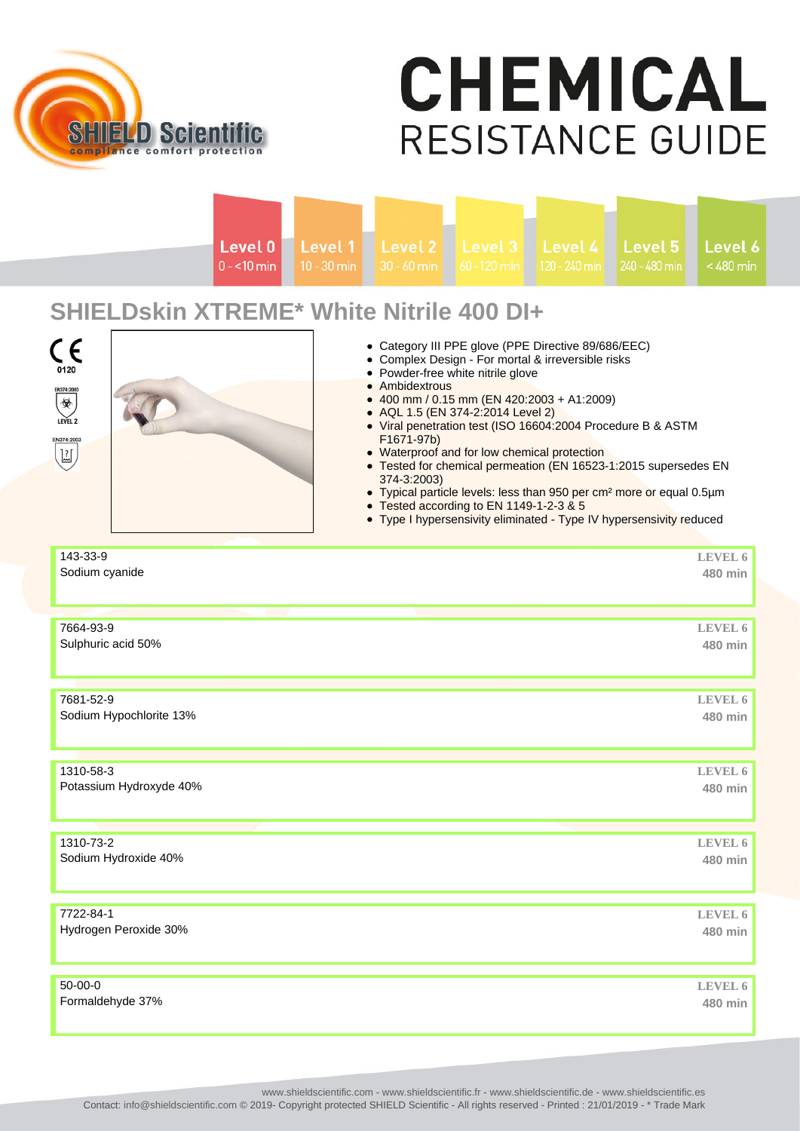

## **CHEMICAL RESISTANCE GUIDE**

| Level 0<br>$0 - 10$ min                                                                                                               | Level 1<br>Level 2<br>$10 - 30$ min<br>$30 - 60$ min | Level 3<br>60-120 min                                                                                                                                                                                                                                                                                                                                                                                                                                                                                                                                                                                                   | Level 4<br>120 - 240 min | Level 5<br>240 - 480 min | Level 6<br>$< 480$ min    |
|---------------------------------------------------------------------------------------------------------------------------------------|------------------------------------------------------|-------------------------------------------------------------------------------------------------------------------------------------------------------------------------------------------------------------------------------------------------------------------------------------------------------------------------------------------------------------------------------------------------------------------------------------------------------------------------------------------------------------------------------------------------------------------------------------------------------------------------|--------------------------|--------------------------|---------------------------|
| <b>SHIELDskin XTREME* White Nitrile 400 DI+</b><br>CE<br>0120<br>EN374:2003<br>$\circledast$<br>LEVEL 2<br>EN374:2003<br>$\mathbb{E}$ | • Ambidextrous<br>F1671-97b)<br>374-3:2003)          | • Category III PPE glove (PPE Directive 89/686/EEC)<br>• Complex Design - For mortal & irreversible risks<br>• Powder-free white nitrile glove<br>400 mm / 0.15 mm (EN 420:2003 + A1:2009)<br>• AQL 1.5 (EN 374-2:2014 Level 2)<br>• Viral penetration test (ISO 16604:2004 Procedure B & ASTM<br>• Waterproof and for low chemical protection<br>• Tested for chemical permeation (EN 16523-1:2015 supersedes EN<br>• Typical particle levels: less than 950 per cm <sup>2</sup> more or equal 0.5µm<br>• Tested according to EN 1149-1-2-3 & 5<br>• Type I hypersensivity eliminated - Type IV hypersensivity reduced |                          |                          |                           |
| 143-33-9<br>Sodium cyanide                                                                                                            |                                                      |                                                                                                                                                                                                                                                                                                                                                                                                                                                                                                                                                                                                                         |                          |                          | LEVEL 6<br>480 min        |
| 7664-93-9<br>Sulphuric acid 50%                                                                                                       |                                                      |                                                                                                                                                                                                                                                                                                                                                                                                                                                                                                                                                                                                                         |                          |                          | LEVEL 6<br>480 min        |
| 7681-52-9<br>Sodium Hypochlorite 13%                                                                                                  |                                                      |                                                                                                                                                                                                                                                                                                                                                                                                                                                                                                                                                                                                                         |                          |                          | LEVEL 6<br>480 min        |
| 1310-58-3<br>Potassium Hydroxyde 40%                                                                                                  |                                                      |                                                                                                                                                                                                                                                                                                                                                                                                                                                                                                                                                                                                                         |                          |                          | LEVEL 6<br>480 min        |
| 1310-73-2<br>Sodium Hydroxide 40%                                                                                                     |                                                      |                                                                                                                                                                                                                                                                                                                                                                                                                                                                                                                                                                                                                         |                          |                          | LEVEL 6<br>480 min        |
| 7722-84-1<br>Hydrogen Peroxide 30%                                                                                                    |                                                      |                                                                                                                                                                                                                                                                                                                                                                                                                                                                                                                                                                                                                         |                          |                          | <b>LEVEL 6</b><br>480 min |
| 50-00-0<br>Formaldehyde 37%                                                                                                           |                                                      |                                                                                                                                                                                                                                                                                                                                                                                                                                                                                                                                                                                                                         |                          |                          | LEVEL 6<br>480 min        |